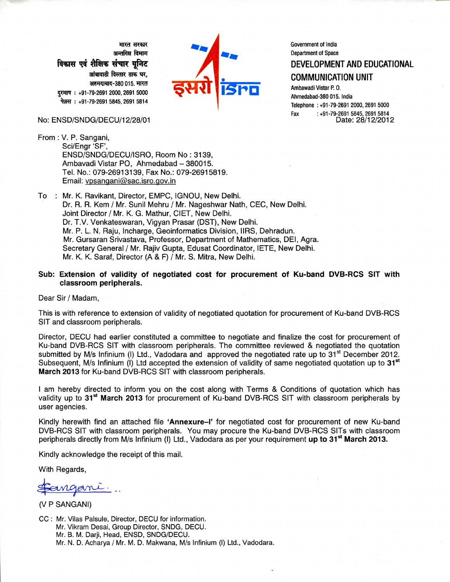मारत सरकार अन्तरिक्ष विमाग विकास एवं शैक्षिक संचार युनिट आंबावाडी विस्तार डाक घर. अहमदाबाद-380 015. मारत दूरमाष: +91-79-2691 2000, 2691 5000 फेक़्स: +91-79-2691 5845, 2691 5814

#### No: ENSD/SNDG/DECU/12/28/01

From : V. P. Sangani,



Government of India **Department of Space** DEVELOPMENT AND EDUCATIONAL

**COMMUNICATION UNIT** 

Ambawadi Vistar P.O. Ahmedabad-380 015. India Telephone: +91-79-2691 2000, 2691 5000 414 1993, 491-79-2691 +<br>28/12/2012 :Date: Fax

- Sci/Engr 'SF', ENSD/SNDG/DECU/ISRO, Room No: 3139, Ambavadi Vistar PO, Ahmedabad - 380015. Tel. No.: 079-26913139, Fax No.: 079-26915819. Email: vpsangani@sac.isro.gov.in
- To : Mr. K. Ravikant, Director, EMPC, IGNOU, New Delhi. Dr. R. R. Kem / Mr. Sunil Mehru / Mr. Nageshwar Nath, CEC, New Delhi. Joint Director / Mr. K. G. Mathur, CIET, New Delhi. Dr. T.V. Venkateswaran, Vigyan Prasar (DST), New Delhi. Mr. P. L. N. Raju, Incharge, Geoinformatics Division, IIRS, Dehradun. Mr. Gursaran Srivastava, Professor, Department of Mathematics, DEI, Agra. Secretary General / Mr. Raiiv Gupta, Edusat Coordinator, IETE, New Delhi. Mr. K. K. Saraf, Director (A & F) / Mr. S. Mitra, New Delhi.
- Sub: Extension of validity of negotiated cost for procurement of Ku-band DVB-RCS SIT with classroom peripherals.

Dear Sir / Madam,

This is with reference to extension of validity of negotiated quotation for procurement of Ku-band DVB-RCS SIT and classroom peripherals.

Director, DECU had earlier constituted a committee to negotiate and finalize the cost for procurement of Ku-band DVB-RCS SIT with classroom peripherals. The committee reviewed & negotiated the quotation submitted by M/s Infinium (I) Ltd., Vadodara and approved the negotiated rate up to  $31<sup>st</sup>$  December 2012. Subsequent, M/s Infinium (I) Ltd accepted the extension of validity of same negotiated quotation up to 31<sup>st</sup> March 2013 for Ku-band DVB-RCS SIT with classroom peripherals.

I am hereby directed to inform you on the cost along with Terms & Conditions of quotation which has validity up to 31<sup>st</sup> March 2013 for procurement of Ku-band DVB-RCS SIT with classroom peripherals by user agencies.

Kindly herewith find an attached file 'Annexure-I' for negotiated cost for procurement of new Ku-band DVB-RCS SIT with classroom peripherals. You may procure the Ku-band DVB-RCS SITs with classroom peripherals directly from M/s Infinium (I) Ltd., Vadodara as per your requirement up to 31<sup>st</sup> March 2013.

Kindly acknowledge the receipt of this mail.

With Regards,

(V P SANGANI)

CC: Mr. Vilas Palsule, Director, DECU for information. Mr. Vikram Desai, Group Director, SNDG, DECU. Mr. B. M. Darji, Head, ENSD, SNDG/DECU. Mr. N. D. Acharya / Mr. M. D. Makwana, M/s Infinium (I) Ltd., Vadodara.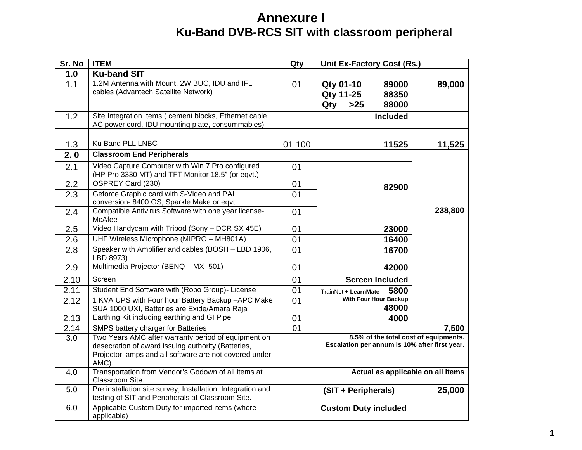# **Annexure I Ku-Band DVB-RCS SIT with classroom peripheral**

| Sr. No | <b>ITEM</b>                                                                                                                                                                  | Qty        | <b>Unit Ex-Factory Cost (Rs.)</b>                                                      |         |
|--------|------------------------------------------------------------------------------------------------------------------------------------------------------------------------------|------------|----------------------------------------------------------------------------------------|---------|
| 1.0    | <b>Ku-band SIT</b>                                                                                                                                                           |            |                                                                                        |         |
| 1.1    | 1.2M Antenna with Mount, 2W BUC, IDU and IFL<br>cables (Advantech Satellite Network)                                                                                         | 01         | Qty 01-10<br>89000<br><b>Qty 11-25</b><br>88350<br>Qty<br>$>25$<br>88000               | 89,000  |
| 1.2    | Site Integration Items ( cement blocks, Ethernet cable,<br>AC power cord, IDU mounting plate, consummables)                                                                  |            | <b>Included</b>                                                                        |         |
| 1.3    | Ku Band PLL LNBC                                                                                                                                                             | $01 - 100$ | 11525                                                                                  | 11,525  |
| 2.0    | <b>Classroom End Peripherals</b>                                                                                                                                             |            |                                                                                        |         |
| 2.1    | Video Capture Computer with Win 7 Pro configured<br>(HP Pro 3330 MT) and TFT Monitor 18.5" (or eqvt.)                                                                        | 01         |                                                                                        |         |
| 2.2    | OSPREY Card (230)                                                                                                                                                            | 01         | 82900                                                                                  |         |
| 2.3    | Geforce Graphic card with S-Video and PAL<br>conversion-8400 GS, Sparkle Make or eqvt.                                                                                       | 01         |                                                                                        |         |
| 2.4    | Compatible Antivirus Software with one year license-<br>McAfee                                                                                                               | 01         |                                                                                        | 238,800 |
| 2.5    | Video Handycam with Tripod (Sony - DCR SX 45E)                                                                                                                               | 01         | 23000                                                                                  |         |
| 2.6    | UHF Wireless Microphone (MIPRO - MH801A)                                                                                                                                     | 01         | 16400                                                                                  |         |
| 2.8    | Speaker with Amplifier and cables (BOSH - LBD 1906,<br>LBD 8973)                                                                                                             | 01         | 16700                                                                                  |         |
| 2.9    | Multimedia Projector (BENQ - MX- 501)                                                                                                                                        | 01         | 42000                                                                                  |         |
| 2.10   | Screen                                                                                                                                                                       | 01         | <b>Screen Included</b>                                                                 |         |
| 2.11   | Student End Software with (Robo Group)- License                                                                                                                              | 01         | 5800<br>TrainNet + LearnMate                                                           |         |
| 2.12   | 1 KVA UPS with Four hour Battery Backup-APC Make<br>SUA 1000 UXI, Batteries are Exide/Amara Raja                                                                             | 01         | <b>With Four Hour Backup</b><br>48000                                                  |         |
| 2.13   | Earthing Kit including earthing and GI Pipe                                                                                                                                  | 01         | 4000                                                                                   |         |
| 2.14   | SMPS battery charger for Batteries                                                                                                                                           | 01         |                                                                                        | 7,500   |
| 3.0    | Two Years AMC after warranty period of equipment on<br>desecration of award issuing authority (Batteries,<br>Projector lamps and all software are not covered under<br>AMC). |            | 8.5% of the total cost of equipments.<br>Escalation per annum is 10% after first year. |         |
| 4.0    | Transportation from Vendor's Godown of all items at<br>Classroom Site.                                                                                                       |            | Actual as applicable on all items                                                      |         |
| 5.0    | Pre installation site survey, Installation, Integration and<br>testing of SIT and Peripherals at Classroom Site.                                                             |            | (SIT + Peripherals)                                                                    | 25,000  |
| 6.0    | Applicable Custom Duty for imported items (where<br>applicable)                                                                                                              |            | <b>Custom Duty included</b>                                                            |         |